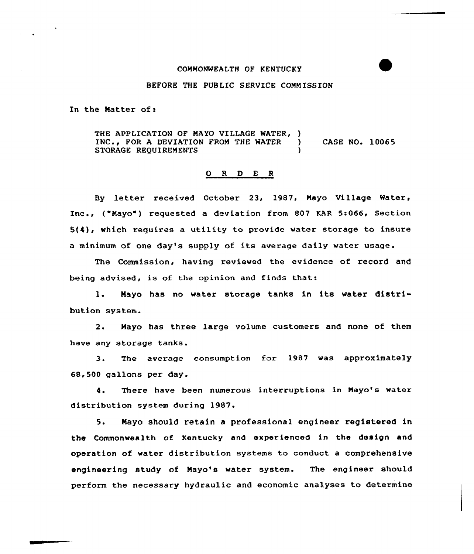## CONN0%fEALTH OP KENTUCKY

## BEFORE THE PUBLIC SERVICE COMMISSION

In the Matter of:

THE APPLICATION OF MAYO VILLAGE WATER, )<br>INC.. FOR A DEVIATION FROM THE WATER ) INC., POR <sup>A</sup> DEVIATION FROM THE WATER ) CASE NO. 10065 STORAGE REQUIREMENTS

## O R D E R

By letter received October 23, 1987, Mayo Village Water, Inc., ("Mayo") requested a deviation from 807 KAR 5:066, Section  $5(4)$ , which requires a utility to provide water storage to insure <sup>a</sup> minimum of one day's supply of its average daily water usage.

The Commission, having reviewed the evidence of record and being advised, is of the opinion and finds that:

1. Mayo has no water storage tanks in its water distribution system.

2. Mayo has three large volume customers and none of them have any storage tanks.

3. The average consumption for 1987 was approximately 68,500 gallons per day.

4. There have been numerous interruptions in Nayo's water distribution system during 1987

 $5.$ Nayo should retain a professional engineer registered in the Commonwealth of Kentucky and experienced in the design and operation of water distribution systems to conduct a comprehensive engineering study of Mayo's water system. The engineer should perform the necessary hydraulic and economic analyses to determine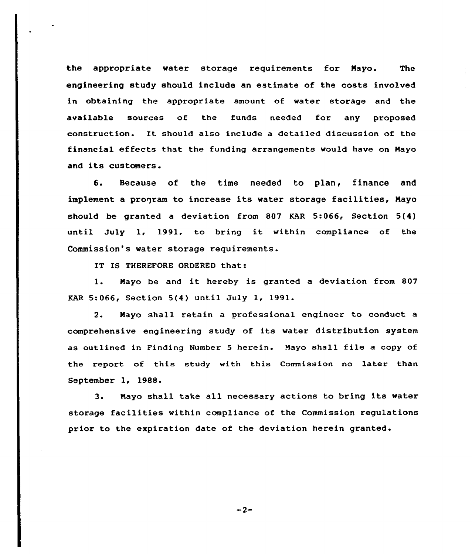the appropriate water storage requirements for Nayo. The engineering study should include an estimate of the costs involved in obtaining the appropriate amount of water storage and the available sources of the funds needed for any proposed construction. It should also include <sup>a</sup> detailed discussion of the financial effects that the funding arrangements would have on Nayo and its customers.

6. Because of the time needed to plan, finance and implement a program to increase its water storage facilities, Mayo should be granted a deviation from 807 KAR 5-066, Section 5(4) until July 1, 1991, to bring it within compliance of the Commission"s water storage requirements.

IT IS THEREFORE ORDERED that:

1. Mayo be and it hereby is granted <sup>a</sup> deviation from <sup>807</sup> KAR 5:066, Section 5(4) until July 1, 1991.

2. Nayo shall retain a professional engineer to conduct a comprehensive engineering study of its water distribution system as outlined in Finding Number <sup>5</sup> herein. Mayo shall file <sup>a</sup> copy of the report of this study with this Commission no later than September 1, 1988.

3. Nayo shall take all necessary actions to bring its water storage facilities within compliance of the Commission regulations prior to the expiration date of the deviation herein granted.

 $-2-$